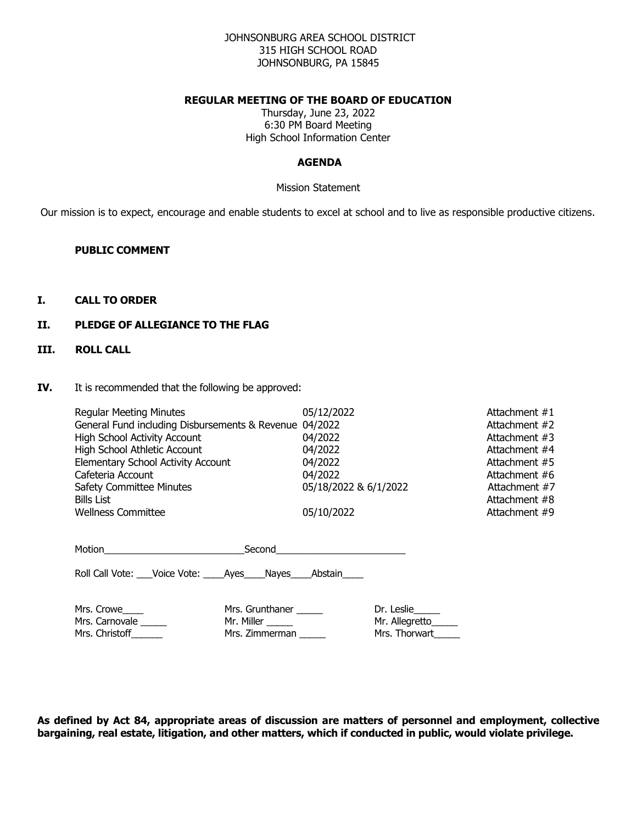## JOHNSONBURG AREA SCHOOL DISTRICT 315 HIGH SCHOOL ROAD JOHNSONBURG, PA 15845

## **REGULAR MEETING OF THE BOARD OF EDUCATION**

Thursday, June 23, 2022 6:30 PM Board Meeting High School Information Center

## **AGENDA**

Mission Statement

Our mission is to expect, encourage and enable students to excel at school and to live as responsible productive citizens.

### **PUBLIC COMMENT**

### **I. CALL TO ORDER**

### **II. PLEDGE OF ALLEGIANCE TO THE FLAG**

## **III. ROLL CALL**

#### **IV.** It is recommended that the following be approved:

| <b>Regular Meeting Minutes</b><br>General Fund including Disbursements & Revenue 04/2022<br><b>High School Activity Account</b><br>High School Athletic Account<br><b>Elementary School Activity Account</b><br>Cafeteria Account<br><b>Safety Committee Minutes</b><br><b>Bills List</b><br><b>Wellness Committee</b> |                                                               | 05/12/2022<br>04/2022<br>04/2022<br>04/2022<br>04/2022<br>05/18/2022 & 6/1/2022<br>05/10/2022 |                                                    | Attachment #1<br>Attachment #2<br>Attachment #3<br>Attachment #4<br>Attachment #5<br>Attachment #6<br>Attachment #7<br>Attachment #8<br>Attachment #9 |
|------------------------------------------------------------------------------------------------------------------------------------------------------------------------------------------------------------------------------------------------------------------------------------------------------------------------|---------------------------------------------------------------|-----------------------------------------------------------------------------------------------|----------------------------------------------------|-------------------------------------------------------------------------------------------------------------------------------------------------------|
| Roll Call Vote: Voice Vote: Ayes Nayes Abstain                                                                                                                                                                                                                                                                         |                                                               |                                                                                               |                                                    |                                                                                                                                                       |
| Mrs. Crowe<br>Mrs. Carnovale<br>Mrs. Christoff                                                                                                                                                                                                                                                                         | Mrs. Grunthaner ______<br>Mr. Miller ______<br>Mrs. Zimmerman |                                                                                               | Dr. Leslie_____<br>Mr. Allegretto<br>Mrs. Thorwart |                                                                                                                                                       |

**As defined by Act 84, appropriate areas of discussion are matters of personnel and employment, collective bargaining, real estate, litigation, and other matters, which if conducted in public, would violate privilege.**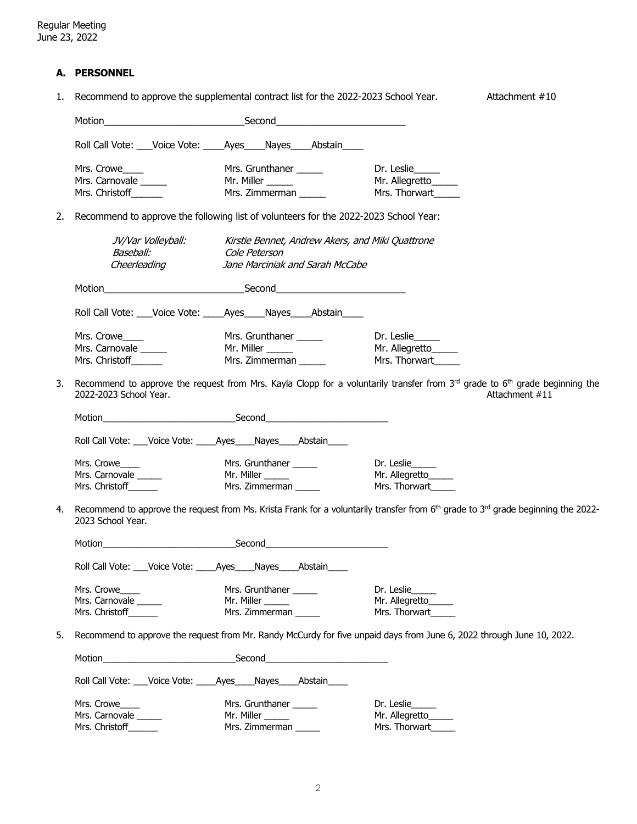## **A. PERSONNEL**

1. Recommend to approve the supplemental contract list for the 2022-2023 School Year. Attachment #10

|    |                                                                   | Roll Call Vote: ___Voice Vote: _____Ayes_____Nayes_____Abstain____                   |                                                                                                                                                           |
|----|-------------------------------------------------------------------|--------------------------------------------------------------------------------------|-----------------------------------------------------------------------------------------------------------------------------------------------------------|
|    | Mrs. Crowe____                                                    | Mrs. Grunthaner ______                                                               | Dr. Leslie_____                                                                                                                                           |
|    | Mrs. Carnovale ______                                             | Mr. Miller ______                                                                    | Mr. Allegretto                                                                                                                                            |
|    | Mrs. Christoff______                                              | Mr. Miller ______<br>Mrs. Zimmerman ______                                           | Mrs. Thorwart                                                                                                                                             |
|    |                                                                   |                                                                                      |                                                                                                                                                           |
| 2. |                                                                   | Recommend to approve the following list of volunteers for the 2022-2023 School Year: |                                                                                                                                                           |
|    |                                                                   | JV/Var Volleyball: Kirstie Bennet, Andrew Akers, and Miki Quattrone                  |                                                                                                                                                           |
|    | Baseball:                                                         | Cole Peterson                                                                        |                                                                                                                                                           |
|    | Cheerleading                                                      | Jane Marciniak and Sarah McCabe                                                      |                                                                                                                                                           |
|    |                                                                   |                                                                                      |                                                                                                                                                           |
|    |                                                                   | Roll Call Vote: Voice Vote: Ayes Nayes Abstain                                       |                                                                                                                                                           |
|    | Mrs. Crowe____                                                    | Mrs. Grunthaner ______                                                               | Dr. Leslie                                                                                                                                                |
|    | Mrs. Carnovale ______                                             | Mr. Miller ______                                                                    | Mr. Allegretto                                                                                                                                            |
|    | Mrs. Christoff                                                    | Mrs. Zimmerman                                                                       | Mrs. Thorwart                                                                                                                                             |
|    |                                                                   |                                                                                      |                                                                                                                                                           |
| 3. | 2022-2023 School Year,                                            |                                                                                      | Recommend to approve the request from Mrs. Kayla Clopp for a voluntarily transfer from 3rd grade to 6 <sup>th</sup> grade beginning the<br>Attachment #11 |
|    |                                                                   |                                                                                      |                                                                                                                                                           |
|    | Roll Call Vote: ___Voice Vote: _____Ayes____Nayes____Abstain____  |                                                                                      |                                                                                                                                                           |
|    | Mrs. Crowe                                                        | Mrs. Grunthaner ______                                                               | Dr. Leslie                                                                                                                                                |
|    | Mrs. Carnovale                                                    | Mr. Miller ______                                                                    | Mr. Allegretto_____                                                                                                                                       |
|    | Mrs. Christoff                                                    | Mrs. Zimmerman                                                                       | Mrs. Thorwart                                                                                                                                             |
| 4. | 2023 School Year.                                                 |                                                                                      | Recommend to approve the request from Ms. Krista Frank for a voluntarily transfer from 6 <sup>th</sup> grade to 3 <sup>rd</sup> grade beginning the 2022- |
|    |                                                                   |                                                                                      |                                                                                                                                                           |
|    | Roll Call Vote:<br>Voice Vote:                                    | Nayes<br>_Ayes_<br>_Abstain_                                                         |                                                                                                                                                           |
|    | Mrs. Crowe                                                        | Mrs. Grunthaner                                                                      | Dr. Leslie                                                                                                                                                |
|    | Mrs. Carnovale                                                    | Mr. Miller ______                                                                    | Mr. Allegretto                                                                                                                                            |
|    | Mrs. Christoff_______                                             | Mrs. Zimmerman                                                                       | Mrs. Thorwart                                                                                                                                             |
| 5. |                                                                   |                                                                                      | Recommend to approve the request from Mr. Randy McCurdy for five unpaid days from June 6, 2022 through June 10, 2022.                                     |
|    |                                                                   |                                                                                      |                                                                                                                                                           |
|    | Roll Call Vote: ___Voice Vote: _____Ayes____Nayes____Abstain_____ |                                                                                      |                                                                                                                                                           |
|    | Mrs. Crowe                                                        | Mrs. Grunthaner                                                                      | Dr. Leslie                                                                                                                                                |
|    | Mrs. Carnovale                                                    | Mr. Miller _____                                                                     | Mr. Allegretto                                                                                                                                            |
|    | Mrs. Christoff_                                                   | Mrs. Zimmerman                                                                       | Mrs. Thorwart_                                                                                                                                            |
|    |                                                                   |                                                                                      |                                                                                                                                                           |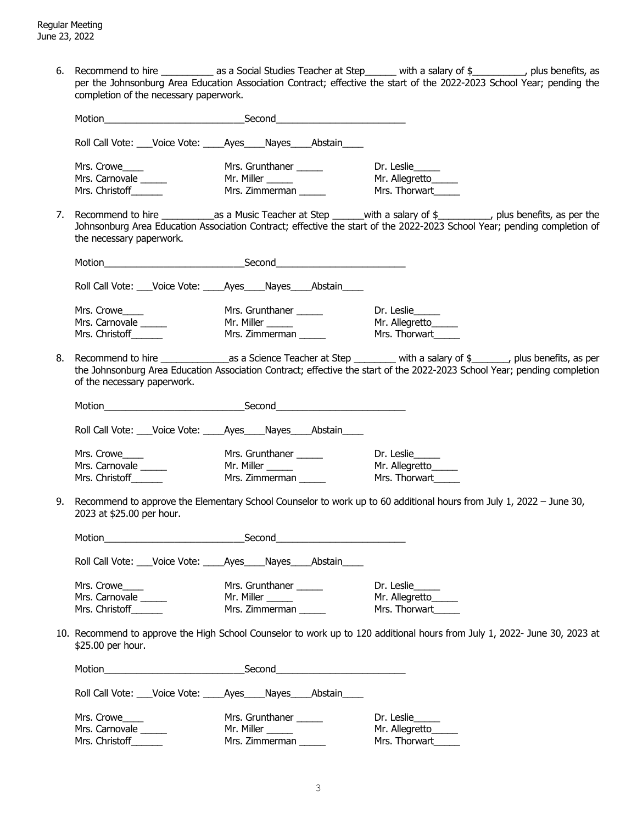6. Recommend to hire \_\_\_\_\_\_\_\_\_\_ as a Social Studies Teacher at Step\_\_\_\_\_\_ with a salary of \$\_\_\_\_\_\_\_\_\_\_, plus benefits, as per the Johnsonburg Area Education Association Contract; effective the start of the 2022-2023 School Year; pending the completion of the necessary paperwork.

|    |                                                                                    | Motion <b>Second</b> Second <b>Second</b>                                                   |                                                                                                                                                                                                                                                               |
|----|------------------------------------------------------------------------------------|---------------------------------------------------------------------------------------------|---------------------------------------------------------------------------------------------------------------------------------------------------------------------------------------------------------------------------------------------------------------|
|    |                                                                                    | Roll Call Vote: Voice Vote: Ayes Nayes Abstain                                              |                                                                                                                                                                                                                                                               |
|    | Mrs. Crowe<br>Mrs. Carnovale ______<br>Mrs. Christoff                              | Mrs. Grunthaner ______<br>Mr. Miller ______<br>Mrs. Zimmerman ______                        | Dr. Leslie_____<br>Mr. Allegretto_____<br>Mrs. Thorwart                                                                                                                                                                                                       |
| 7. | the necessary paperwork.                                                           |                                                                                             | Recommend to hire __________________as a Music Teacher at Step ________with a salary of \$____________, plus benefits, as per the<br>Johnsonburg Area Education Association Contract; effective the start of the 2022-2023 School Year; pending completion of |
|    |                                                                                    |                                                                                             |                                                                                                                                                                                                                                                               |
|    |                                                                                    | Roll Call Vote: ___Voice Vote: _____Ayes_____Nayes_____Abstain_____                         |                                                                                                                                                                                                                                                               |
|    | Mrs. Crowe<br>Mrs. Carnovale ______<br>Mrs. Christoff                              | Mrs. Grunthaner ______<br>Mr. Miller ______<br>Mrs. Zimmerman                               | Dr. Leslie<br>Mr. Allegretto<br>Mrs. Thorwart                                                                                                                                                                                                                 |
| 8. | of the necessary paperwork.                                                        |                                                                                             | the Johnsonburg Area Education Association Contract; effective the start of the 2022-2023 School Year; pending completion                                                                                                                                     |
|    |                                                                                    | Motion Second Second                                                                        |                                                                                                                                                                                                                                                               |
|    |                                                                                    | Roll Call Vote: ___Voice Vote: _____Ayes____Nayes____Abstain____                            |                                                                                                                                                                                                                                                               |
| 9. | Mrs. Crowe<br>Mrs. Carnovale ______<br>Mrs. Christoff<br>2023 at \$25.00 per hour. | Mrs. Grunthaner ______<br>Mr. Miller ______<br>Mrs. Philer _______<br>Mrs. Zimmerman ______ | Dr. Leslie_____<br>Mr. Allegretto_____<br>Mrs. Thorwart<br>Recommend to approve the Elementary School Counselor to work up to 60 additional hours from July 1, 2022 - June 30,                                                                                |
|    |                                                                                    |                                                                                             |                                                                                                                                                                                                                                                               |
|    |                                                                                    | Roll Call Vote: __Voice Vote: ____Ayes____Nayes____Abstain____                              |                                                                                                                                                                                                                                                               |
|    | Mrs. Crowe<br>Mrs. Carnovale<br>Mrs. Christoff                                     | Mrs. Grunthaner ______                                                                      | Dr. Leslie<br>Mr. Allegretto_____<br>Mrs. Thorwart                                                                                                                                                                                                            |
|    | \$25.00 per hour.                                                                  |                                                                                             | 10. Recommend to approve the High School Counselor to work up to 120 additional hours from July 1, 2022- June 30, 2023 at                                                                                                                                     |
|    |                                                                                    |                                                                                             |                                                                                                                                                                                                                                                               |
|    |                                                                                    | Roll Call Vote: Voice Vote: Ayes Nayes Abstain                                              |                                                                                                                                                                                                                                                               |
|    | Mrs. Crowe<br>Mrs. Carnovale<br>Mrs. Christoff                                     | Mrs. Grunthaner ______<br>Mr. Miller ________<br>Mrs. Zimmerman ______                      | Dr. Leslie<br>Mr. Allegretto<br>Mrs. Thorwart                                                                                                                                                                                                                 |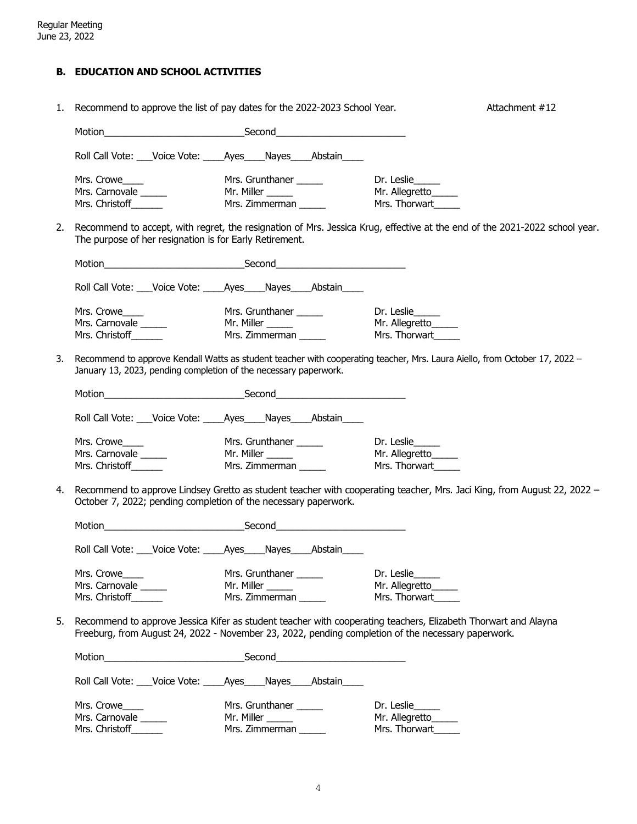# **B. EDUCATION AND SCHOOL ACTIVITIES**

| Recommend to approve the list of pay dates for the 2022-2023 School Year.<br>1. |                                                                    |                                                                                                    | Attachment #12                                                                                                             |
|---------------------------------------------------------------------------------|--------------------------------------------------------------------|----------------------------------------------------------------------------------------------------|----------------------------------------------------------------------------------------------------------------------------|
|                                                                                 |                                                                    |                                                                                                    |                                                                                                                            |
|                                                                                 | Roll Call Vote: ___Voice Vote: _____Ayes____Nayes____Abstain___    |                                                                                                    |                                                                                                                            |
|                                                                                 | Mrs. Crowe____                                                     | Mrs. Grunthaner ______                                                                             | Dr. Leslie                                                                                                                 |
|                                                                                 | Mrs. Carnovale ______                                              | Mr. Miller ______                                                                                  | Mr. Allegretto_____                                                                                                        |
|                                                                                 | Mrs. Christoff_______                                              | Mrs. Zimmerman                                                                                     | Mrs. Thorwart                                                                                                              |
| 2.                                                                              | The purpose of her resignation is for Early Retirement.            |                                                                                                    | Recommend to accept, with regret, the resignation of Mrs. Jessica Krug, effective at the end of the 2021-2022 school year. |
|                                                                                 |                                                                    |                                                                                                    |                                                                                                                            |
|                                                                                 |                                                                    | Roll Call Vote: ___Voice Vote: _____Ayes____Nayes____Abstain____                                   |                                                                                                                            |
|                                                                                 | Mrs. Crowe                                                         | Mrs. Grunthaner ______                                                                             | Dr. Leslie                                                                                                                 |
|                                                                                 | Mrs. Carnovale ______                                              | Mr. Miller ______                                                                                  | Mr. Allegretto                                                                                                             |
|                                                                                 | Mrs. Christoff                                                     | Mrs. Zimmerman                                                                                     | Mrs. Thorwart                                                                                                              |
| 3.                                                                              | January 13, 2023, pending completion of the necessary paperwork.   |                                                                                                    | Recommend to approve Kendall Watts as student teacher with cooperating teacher, Mrs. Laura Aiello, from October 17, 2022 - |
|                                                                                 |                                                                    |                                                                                                    |                                                                                                                            |
|                                                                                 | Roll Call Vote: ___Voice Vote: _____Ayes_____Nayes_____Abstain____ |                                                                                                    |                                                                                                                            |
|                                                                                 | Mrs. Crowe____                                                     | Mrs. Grunthaner ______                                                                             | Dr. Leslie                                                                                                                 |
|                                                                                 | Mrs. Carnovale ______                                              | Mr. Miller ______                                                                                  | Mr. Allegretto_____                                                                                                        |
|                                                                                 | Mrs. Christoff_______                                              | Mrs. Zimmerman                                                                                     | Mrs. Thorwart                                                                                                              |
| 4.                                                                              | October 7, 2022; pending completion of the necessary paperwork.    |                                                                                                    | Recommend to approve Lindsey Gretto as student teacher with cooperating teacher, Mrs. Jaci King, from August 22, 2022 -    |
|                                                                                 |                                                                    |                                                                                                    |                                                                                                                            |
|                                                                                 | Roll Call Vote: ___Voice Vote: _____Ayes____Nayes_____Abstain_____ |                                                                                                    |                                                                                                                            |
|                                                                                 | Mrs. Crowe                                                         | Mrs. Grunthaner ______                                                                             | Dr. Leslie                                                                                                                 |
|                                                                                 | Mrs. Carnovale                                                     | Mr. Miller ______                                                                                  | Mr. Allegretto                                                                                                             |
|                                                                                 | Mrs. Christoff_______                                              | Mrs. Zimmerman                                                                                     | Mrs. Thorwart                                                                                                              |
| 5.                                                                              |                                                                    | Freeburg, from August 24, 2022 - November 23, 2022, pending completion of the necessary paperwork. | Recommend to approve Jessica Kifer as student teacher with cooperating teachers, Elizabeth Thorwart and Alayna             |
|                                                                                 |                                                                    |                                                                                                    |                                                                                                                            |
|                                                                                 | Roll Call Vote: ___Voice Vote: _____Ayes_____Nayes_____Abstain____ |                                                                                                    |                                                                                                                            |
|                                                                                 | Mrs. Crowe                                                         | Mrs. Grunthaner _____                                                                              | Dr. Leslie                                                                                                                 |
|                                                                                 | Mrs. Carnovale ______                                              | Mr. Miller ______                                                                                  | Mr. Allegretto_____                                                                                                        |
|                                                                                 | Mrs. Christoff_______                                              | Mrs. Zimmerman                                                                                     | Mrs. Thorwart                                                                                                              |
|                                                                                 |                                                                    |                                                                                                    |                                                                                                                            |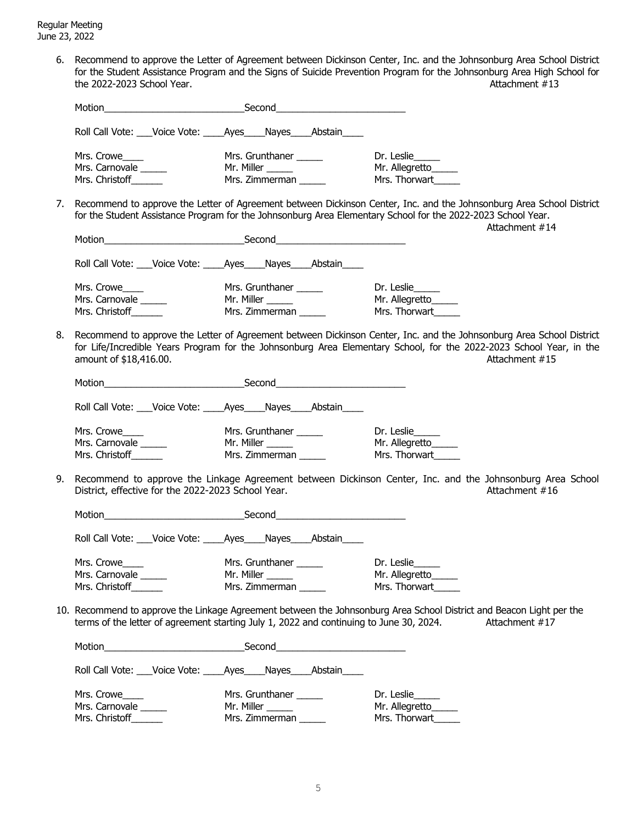Regular Meeting June 23, 2022

> 6. Recommend to approve the Letter of Agreement between Dickinson Center, Inc. and the Johnsonburg Area School District for the Student Assistance Program and the Signs of Suicide Prevention Program for the Johnsonburg Area High School for the 2022-2023 School Year.  $\overline{a}$  and  $\overline{b}$  are  $\overline{a}$  attachment  $\overline{a}$  13

|    | Roll Call Vote: ___Voice Vote: _____Ayes_____Nayes_____Abstain___                       |                                             |                |                                                                                                                                                                                                                                                               |  |
|----|-----------------------------------------------------------------------------------------|---------------------------------------------|----------------|---------------------------------------------------------------------------------------------------------------------------------------------------------------------------------------------------------------------------------------------------------------|--|
|    | Mrs. Crowe_____<br>Mrs. Carnovale                                                       | Mrs. Grunthaner ______<br>Mr. Miller ______ |                | Dr. Leslie<br>Mr. Allegretto                                                                                                                                                                                                                                  |  |
|    | Mrs. Christoff                                                                          | Mr. Miller ______<br>Mrs. Zimmerman ______  |                | Mrs. Thorwart                                                                                                                                                                                                                                                 |  |
| 7. |                                                                                         |                                             |                | Recommend to approve the Letter of Agreement between Dickinson Center, Inc. and the Johnsonburg Area School District<br>for the Student Assistance Program for the Johnsonburg Area Elementary School for the 2022-2023 School Year.<br>Attachment #14        |  |
|    | Motion Second Second                                                                    |                                             |                |                                                                                                                                                                                                                                                               |  |
|    | Roll Call Vote: ___Voice Vote: ____Ayes____Nayes____Abstain____                         |                                             |                |                                                                                                                                                                                                                                                               |  |
|    | Mrs. Crowe                                                                              | Mrs. Grunthaner ______                      |                | Dr. Leslie                                                                                                                                                                                                                                                    |  |
|    | Mrs. Carnovale                                                                          | Mr. Miller ______                           | Mrs. Zimmerman | Mr. Allegretto_____                                                                                                                                                                                                                                           |  |
|    | Mrs. Christoff                                                                          |                                             |                | Mrs. Thorwart                                                                                                                                                                                                                                                 |  |
| 8. | amount of \$18,416.00.                                                                  |                                             |                | Recommend to approve the Letter of Agreement between Dickinson Center, Inc. and the Johnsonburg Area School District<br>for Life/Incredible Years Program for the Johnsonburg Area Elementary School, for the 2022-2023 School Year, in the<br>Attachment #15 |  |
|    |                                                                                         |                                             |                |                                                                                                                                                                                                                                                               |  |
|    | Roll Call Vote: ___Voice Vote: _____Ayes_____Nayes_____Abstain_____                     |                                             |                |                                                                                                                                                                                                                                                               |  |
|    | Mrs. Crowe                                                                              | Mrs. Grunthaner ______                      |                | Dr. Leslie_____                                                                                                                                                                                                                                               |  |
|    | Mrs. Carnovale                                                                          | Mr. Miller _____                            |                | Mr. Allegretto                                                                                                                                                                                                                                                |  |
|    | Mrs. Christoff                                                                          | Mrs. Zimmerman                              |                | Mrs. Thorwart                                                                                                                                                                                                                                                 |  |
| 9. | District, effective for the 2022-2023 School Year.                                      |                                             |                | Recommend to approve the Linkage Agreement between Dickinson Center, Inc. and the Johnsonburg Area School<br>Attachment #16                                                                                                                                   |  |
|    |                                                                                         |                                             |                |                                                                                                                                                                                                                                                               |  |
|    | Roll Call Vote: Voice Vote: Ayes Nayes Abstain                                          |                                             |                |                                                                                                                                                                                                                                                               |  |
|    | Mrs. Crowe                                                                              | Mrs. Grunthaner ______                      |                | Dr. Leslie                                                                                                                                                                                                                                                    |  |
|    | Mrs. Carnovale ______                                                                   | Mr. Miller ______                           |                | Mr. Allegretto_____                                                                                                                                                                                                                                           |  |
|    | Mrs. Christoff                                                                          | Mrs. Zimmerman                              |                | Mrs. Thorwart                                                                                                                                                                                                                                                 |  |
|    | terms of the letter of agreement starting July 1, 2022 and continuing to June 30, 2024. |                                             |                | 10. Recommend to approve the Linkage Agreement between the Johnsonburg Area School District and Beacon Light per the<br>Attachment #17                                                                                                                        |  |
|    |                                                                                         |                                             |                |                                                                                                                                                                                                                                                               |  |
|    | Roll Call Vote: ___Voice Vote: _____Ayes_____Nayes_____Abstain_____                     |                                             |                |                                                                                                                                                                                                                                                               |  |
|    | Mrs. Crowe                                                                              | Mrs. Grunthaner ______                      |                | Dr. Leslie                                                                                                                                                                                                                                                    |  |
|    | Mrs. Carnovale                                                                          | Mr. Miller ______                           |                | Mr. Allegretto_____                                                                                                                                                                                                                                           |  |
|    | Mrs. Christoff______                                                                    | Mrs. Zimmerman                              |                | Mrs. Thorwart                                                                                                                                                                                                                                                 |  |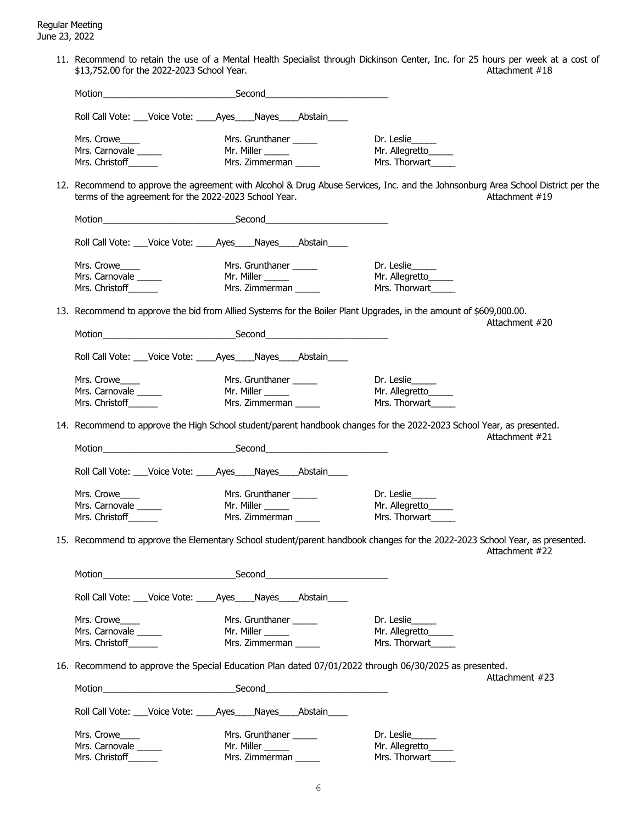11. Recommend to retain the use of a Mental Health Specialist through Dickinson Center, Inc. for 25 hours per week at a cost of \$13,752.00 for the 2022-2023 School Year. \$13,752.00 for the 2022-2023 School Year.

| Motion                                                                                                                                                                                                                         |  |                        |                                            |                                                                                                                    |                                                                                                                                                    |
|--------------------------------------------------------------------------------------------------------------------------------------------------------------------------------------------------------------------------------|--|------------------------|--------------------------------------------|--------------------------------------------------------------------------------------------------------------------|----------------------------------------------------------------------------------------------------------------------------------------------------|
| Roll Call Vote: ___ Voice Vote: _____ Ayes ____ Nayes ____ Abstain _____                                                                                                                                                       |  |                        |                                            |                                                                                                                    |                                                                                                                                                    |
|                                                                                                                                                                                                                                |  |                        |                                            |                                                                                                                    |                                                                                                                                                    |
| Mrs. Crowe                                                                                                                                                                                                                     |  | Mrs. Grunthaner        |                                            | Dr. Leslie                                                                                                         |                                                                                                                                                    |
| Mrs. Carnovale                                                                                                                                                                                                                 |  |                        |                                            | Mr. Allegretto_____                                                                                                |                                                                                                                                                    |
| Mrs. Christoff______                                                                                                                                                                                                           |  |                        |                                            | Mrs. Thorwart                                                                                                      |                                                                                                                                                    |
| terms of the agreement for the 2022-2023 School Year.                                                                                                                                                                          |  |                        |                                            |                                                                                                                    | 12. Recommend to approve the agreement with Alcohol & Drug Abuse Services, Inc. and the Johnsonburg Area School District per the<br>Attachment #19 |
|                                                                                                                                                                                                                                |  |                        |                                            |                                                                                                                    |                                                                                                                                                    |
| Roll Call Vote: ___Voice Vote: _____Ayes____Nayes____Abstain____                                                                                                                                                               |  |                        |                                            |                                                                                                                    |                                                                                                                                                    |
| Mrs. Crowe                                                                                                                                                                                                                     |  | Mrs. Grunthaner ______ |                                            | Dr. Leslie                                                                                                         |                                                                                                                                                    |
| Mrs. Carnovale                                                                                                                                                                                                                 |  | Mr. Miller ______      |                                            | Mr. Allegretto_____                                                                                                |                                                                                                                                                    |
| Mrs. Christoff______                                                                                                                                                                                                           |  | Mrs. Zimmerman         |                                            | Mrs. Thorwart                                                                                                      |                                                                                                                                                    |
|                                                                                                                                                                                                                                |  |                        |                                            | 13. Recommend to approve the bid from Allied Systems for the Boiler Plant Upgrades, in the amount of \$609,000.00. | Attachment #20                                                                                                                                     |
| Motion Second Second Second Second Second Second Second Second Second Second Second Second Second Second Second Second Second Second Second Second Second Second Second Second Second Second Second Second Second Second Secon |  |                        |                                            |                                                                                                                    |                                                                                                                                                    |
| Roll Call Vote: ___Voice Vote: _____Ayes____Nayes____Abstain____                                                                                                                                                               |  |                        |                                            |                                                                                                                    |                                                                                                                                                    |
| Mrs. Crowe                                                                                                                                                                                                                     |  | Mrs. Grunthaner ______ |                                            | Dr. Leslie                                                                                                         |                                                                                                                                                    |
| Mrs. Carnovale                                                                                                                                                                                                                 |  | Mr. Miller ______      |                                            | Mr. Allegretto                                                                                                     |                                                                                                                                                    |
| Mrs. Christoff______                                                                                                                                                                                                           |  |                        | Mrs. Zimmerman ______                      | Mrs. Thorwart                                                                                                      |                                                                                                                                                    |
|                                                                                                                                                                                                                                |  |                        |                                            |                                                                                                                    | 14. Recommend to approve the High School student/parent handbook changes for the 2022-2023 School Year, as presented.<br>Attachment #21            |
|                                                                                                                                                                                                                                |  |                        |                                            |                                                                                                                    |                                                                                                                                                    |
| Roll Call Vote: ___ Voice Vote: ____ Ayes ___ Nayes ___ Abstain ____                                                                                                                                                           |  |                        |                                            |                                                                                                                    |                                                                                                                                                    |
| Mrs. Crowe                                                                                                                                                                                                                     |  | Mrs. Grunthaner _____  |                                            | Dr. Leslie                                                                                                         |                                                                                                                                                    |
| Mrs. Carnovale                                                                                                                                                                                                                 |  | Mr. Miller ______      |                                            | Mr. Allegretto                                                                                                     |                                                                                                                                                    |
| Mrs. Christoff                                                                                                                                                                                                                 |  |                        | Mr. miller ______<br>Mrs. Zimmerman ______ | Mrs. Thorwart                                                                                                      |                                                                                                                                                    |
|                                                                                                                                                                                                                                |  |                        |                                            |                                                                                                                    | 15. Recommend to approve the Elementary School student/parent handbook changes for the 2022-2023 School Year, as presented.<br>Attachment #22      |
| Motion                                                                                                                                                                                                                         |  | Second                 |                                            |                                                                                                                    |                                                                                                                                                    |
| Roll Call Vote: ___ Voice Vote: ____ Ayes ____ Nayes ____ Abstain ____                                                                                                                                                         |  |                        |                                            |                                                                                                                    |                                                                                                                                                    |
| Mrs. Crowe                                                                                                                                                                                                                     |  | Mrs. Grunthaner ______ |                                            | Dr. Leslie_____                                                                                                    |                                                                                                                                                    |
| Mrs. Carnovale                                                                                                                                                                                                                 |  |                        |                                            | Mr. Allegretto                                                                                                     |                                                                                                                                                    |
| Mrs. Christoff                                                                                                                                                                                                                 |  |                        |                                            | Mrs. Thorwart                                                                                                      |                                                                                                                                                    |
|                                                                                                                                                                                                                                |  |                        |                                            | 16. Recommend to approve the Special Education Plan dated 07/01/2022 through 06/30/2025 as presented.              |                                                                                                                                                    |
|                                                                                                                                                                                                                                |  |                        |                                            |                                                                                                                    | Attachment #23                                                                                                                                     |
|                                                                                                                                                                                                                                |  |                        |                                            |                                                                                                                    |                                                                                                                                                    |
| Roll Call Vote: ___ Voice Vote: ____ Ayes ___ Nayes ___ Abstain ____                                                                                                                                                           |  |                        |                                            |                                                                                                                    |                                                                                                                                                    |
| Mrs. Crowe                                                                                                                                                                                                                     |  | Mrs. Grunthaner ______ |                                            | Dr. Leslie                                                                                                         |                                                                                                                                                    |
| Mrs. Carnovale                                                                                                                                                                                                                 |  | Mr. Miller ______      |                                            | Mr. Allegretto_____                                                                                                |                                                                                                                                                    |
| Mrs. Christoff                                                                                                                                                                                                                 |  | Mrs. Zimmerman         |                                            | Mrs. Thorwart                                                                                                      |                                                                                                                                                    |